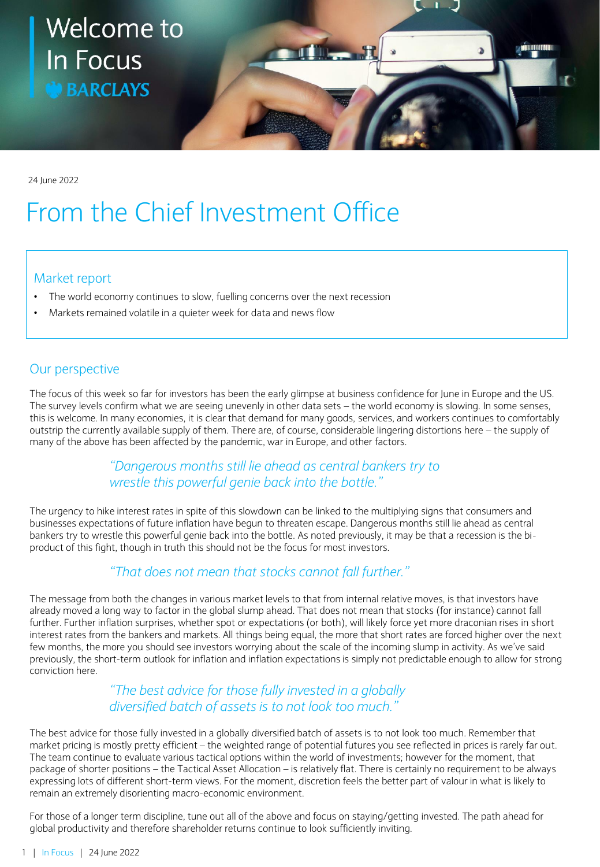# Welcome to **The R In Focus BARCLAYS**

24 June 2022

# From the Chief Investment Office

### Market report

- The world economy continues to slow, fuelling concerns over the next recession
- Markets remained volatile in a quieter week for data and news flow

# Our perspective

The focus of this week so far for investors has been the early glimpse at business confidence for June in Europe and the US. The survey levels confirm what we are seeing unevenly in other data sets – the world economy is slowing. In some senses, this is welcome. In many economies, it is clear that demand for many goods, services, and workers continues to comfortably outstrip the currently available supply of them. There are, of course, considerable lingering distortions here – the supply of many of the above has been affected by the pandemic, war in Europe, and other factors.

# *"Dangerous months still lie ahead as central bankers try to wrestle this powerful genie back into the bottle."*

The urgency to hike interest rates in spite of this slowdown can be linked to the multiplying signs that consumers and businesses expectations of future inflation have begun to threaten escape. Dangerous months still lie ahead as central bankers try to wrestle this powerful genie back into the bottle. As noted previously, it may be that a recession is the biproduct of this fight, though in truth this should not be the focus for most investors.

# *"That does not mean that stocks cannot fall further."*

The message from both the changes in various market levels to that from internal relative moves, is that investors have already moved a long way to factor in the global slump ahead. That does not mean that stocks (for instance) cannot fall further. Further inflation surprises, whether spot or expectations (or both), will likely force yet more draconian rises in short interest rates from the bankers and markets. All things being equal, the more that short rates are forced higher over the next few months, the more you should see investors worrying about the scale of the incoming slump in activity. As we've said previously, the short-term outlook for inflation and inflation expectations is simply not predictable enough to allow for strong conviction here.

### *"The best advice for those fully invested in a globally diversified batch of assets is to not look too much."*

The best advice for those fully invested in a globally diversified batch of assets is to not look too much. Remember that market pricing is mostly pretty efficient – the weighted range of potential futures you see reflected in prices is rarely far out. The team continue to evaluate various tactical options within the world of investments; however for the moment, that package of shorter positions – the Tactical Asset Allocation – is relatively flat. There is certainly no requirement to be always expressing lots of different short-term views. For the moment, discretion feels the better part of valour in what is likely to remain an extremely disorienting macro-economic environment.

For those of a longer term discipline, tune out all of the above and focus on staying/getting invested. The path ahead for global productivity and therefore shareholder returns continue to look sufficiently inviting.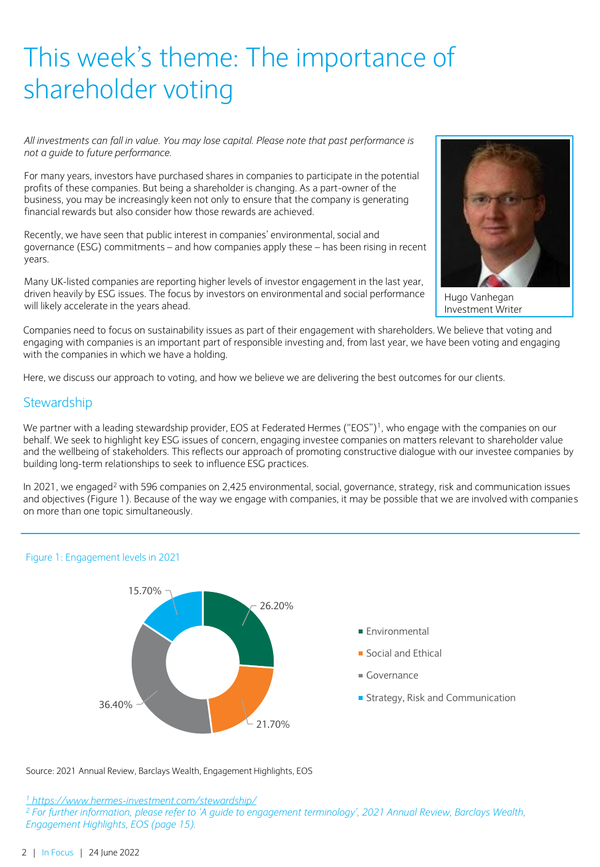# This week's theme: The importance of shareholder voting

*All investments can fall in value. You may lose capital. Please note that past performance is not a guide to future performance.*

For many years, investors have purchased shares in companies to participate in the potential profits of these companies. But being a shareholder is changing. As a part-owner of the business, you may be increasingly keen not only to ensure that the company is generating financial rewards but also consider how those rewards are achieved.

Recently, we have seen that public interest in companies' environmental, social and governance (ESG) commitments – and how companies apply these – has been rising in recent years.

Many UK-listed companies are reporting higher levels of investor engagement in the last year, driven heavily by ESG issues. The focus by investors on environmental and social performance will likely accelerate in the years ahead.



Hugo Vanhegan Investment Writer

Companies need to focus on sustainability issues as part of their engagement with shareholders. We believe that voting and engaging with companies is an important part of responsible investing and, from last year, we have been voting and engaging with the companies in which we have a holding.

Here, we discuss our approach to voting, and how we believe we are delivering the best outcomes for our clients.

### **Stewardship**

We partner with a leading stewardship provider, EOS at Federated Hermes ("EOS")<sup>1</sup>, who engage with the companies on our behalf. We seek to highlight key ESG issues of concern, engaging investee companies on matters relevant to shareholder value and the wellbeing of stakeholders. This reflects our approach of promoting constructive dialogue with our investee companies by building long-term relationships to seek to influence ESG practices.

In 2021, we engaged<sup>2</sup> with 596 companies on 2,425 environmental, social, governance, strategy, risk and communication issues and objectives (Figure 1). Because of the way we engage with companies, it may be possible that we are involved with companies on more than one topic simultaneously.



#### Figure 1: Engagement levels in 2021

Source: 2021 Annual Review, Barclays Wealth, Engagement Highlights, EOS

*<sup>1</sup> <https://www.hermes-investment.com/stewardship/>*

*<sup>2</sup> For further information, please refer to 'A guide to engagement terminology', 2021 Annual Review, Barclays Wealth, Engagement Highlights, EOS (page 15).*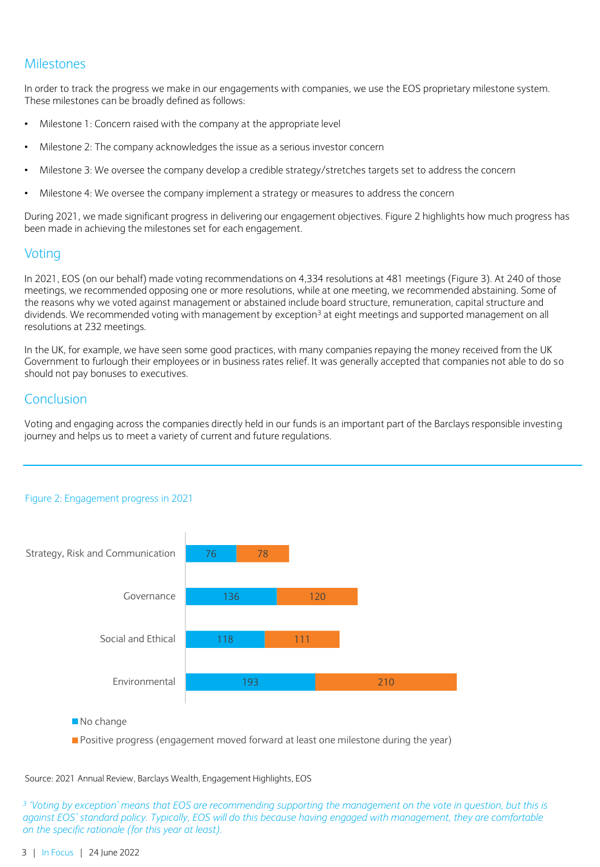# **Milestones**

In order to track the progress we make in our engagements with companies, we use the EOS proprietary milestone system. These milestones can be broadly defined as follows:

- Milestone 1: Concern raised with the company at the appropriate level
- Milestone 2: The company acknowledges the issue as a serious investor concern
- Milestone 3: We oversee the company develop a credible strategy/stretches targets set to address the concern
- Milestone 4: We oversee the company implement a strategy or measures to address the concern

During 2021, we made significant progress in delivering our engagement objectives. Figure 2 highlights how much progress has been made in achieving the milestones set for each engagement.

### **Voting**

In 2021, EOS (on our behalf) made voting recommendations on 4,334 resolutions at 481 meetings (Figure 3). At 240 of those meetings, we recommended opposing one or more resolutions, while at one meeting, we recommended abstaining. Some of the reasons why we voted against management or abstained include board structure, remuneration, capital structure and dividends. We recommended voting with management by exception<sup>3</sup> at eight meetings and supported management on all resolutions at 232 meetings.

In the UK, for example, we have seen some good practices, with many companies repaying the money received from the UK Government to furlough their employees or in business rates relief. It was generally accepted that companies not able to do so should not pay bonuses to executives.

# Conclusion

Voting and engaging across the companies directly held in our funds is an important part of the Barclays responsible investing journey and helps us to meet a variety of current and future regulations.



#### Figure 2: Engagement progress in 2021

No change

**Positive progress (engagement moved forward at least one milestone during the year)** 

Source: 2021 Annual Review, Barclays Wealth, Engagement Highlights, EOS

<sup>3</sup> 'Voting by exception' means that EOS are recommending supporting the management on the vote in question, but this is *against EOS' standard policy. Typically, EOS will do this because having engaged with management, they are comfortable on the specific rationale (for this year at least).*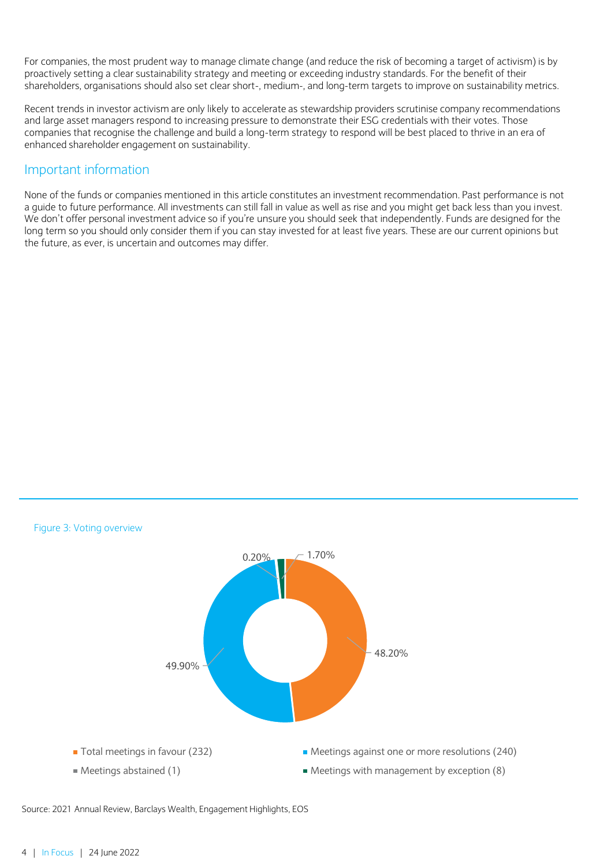For companies, the most prudent way to manage climate change (and reduce the risk of becoming a target of activism) is by proactively setting a clear sustainability strategy and meeting or exceeding industry standards. For the benefit of their shareholders, organisations should also set clear short-, medium-, and long-term targets to improve on sustainability metrics.

Recent trends in investor activism are only likely to accelerate as stewardship providers scrutinise company recommendations and large asset managers respond to increasing pressure to demonstrate their ESG credentials with their votes. Those companies that recognise the challenge and build a long-term strategy to respond will be best placed to thrive in an era of enhanced shareholder engagement on sustainability.

# Important information

None of the funds or companies mentioned in this article constitutes an investment recommendation. Past performance is not a guide to future performance. All investments can still fall in value as well as rise and you might get back less than you invest. We don't offer personal investment advice so if you're unsure you should seek that independently. Funds are designed for the long term so you should only consider them if you can stay invested for at least five years. These are our current opinions but the future, as ever, is uncertain and outcomes may differ.



Source: 2021 Annual Review, Barclays Wealth, Engagement Highlights, EOS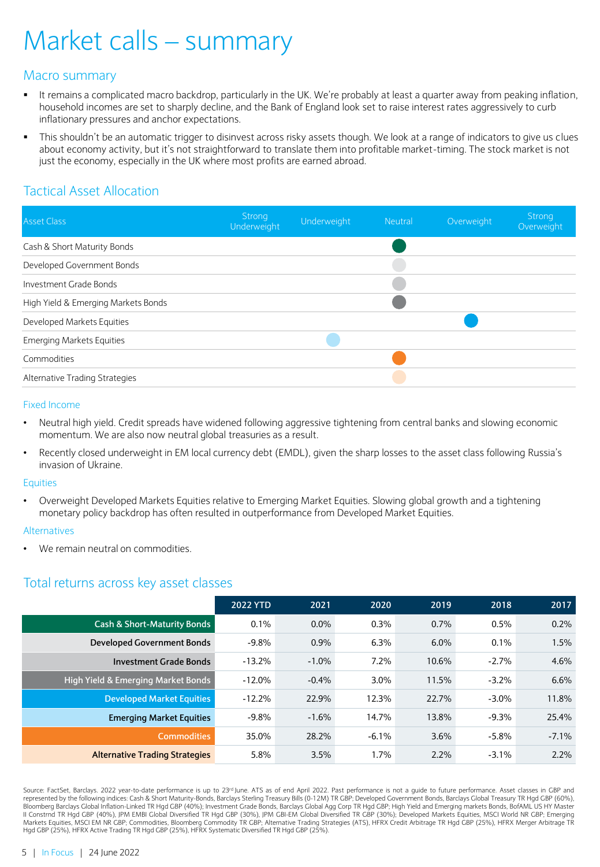# Market calls – summary

# Macro summary

- It remains a complicated macro backdrop, particularly in the UK. We're probably at least a quarter away from peaking inflation, household incomes are set to sharply decline, and the Bank of England look set to raise interest rates aggressively to curb inflationary pressures and anchor expectations.
- This shouldn't be an automatic trigger to disinvest across risky assets though. We look at a range of indicators to give us clues about economy activity, but it's not straightforward to translate them into profitable market-timing. The stock market is not just the economy, especially in the UK where most profits are earned abroad.

# Tactical Asset Allocation

| <b>Asset Class</b>                  | Strong<br>Underweight | Underweight | Neutral | Overweight | Strong<br>Overweight |
|-------------------------------------|-----------------------|-------------|---------|------------|----------------------|
| Cash & Short Maturity Bonds         |                       |             |         |            |                      |
| Developed Government Bonds          |                       |             |         |            |                      |
| Investment Grade Bonds              |                       |             |         |            |                      |
| High Yield & Emerging Markets Bonds |                       |             |         |            |                      |
| Developed Markets Equities          |                       |             |         |            |                      |
| <b>Emerging Markets Equities</b>    |                       |             |         |            |                      |
| Commodities                         |                       |             |         |            |                      |
| Alternative Trading Strategies      |                       |             |         |            |                      |

#### Fixed Income

- Neutral high yield. Credit spreads have widened following aggressive tightening from central banks and slowing economic momentum. We are also now neutral global treasuries as a result.
- Recently closed underweight in EM local currency debt (EMDL), given the sharp losses to the asset class following Russia's invasion of Ukraine.

#### **Equities**

• Overweight Developed Markets Equities relative to Emerging Market Equities. Slowing global growth and a tightening monetary policy backdrop has often resulted in outperformance from Developed Market Equities.

#### Alternatives

We remain neutral on commodities.

# Total returns across key asset classes

|                                        | <b>2022 YTD</b> | 2021     | 2020    | 2019  | 2018     | 2017     |
|----------------------------------------|-----------------|----------|---------|-------|----------|----------|
| <b>Cash &amp; Short-Maturity Bonds</b> | 0.1%            | 0.0%     | 0.3%    | 0.7%  | 0.5%     | 0.2%     |
| <b>Developed Government Bonds</b>      | $-9.8%$         | 0.9%     | 6.3%    | 6.0%  | 0.1%     | 1.5%     |
| <b>Investment Grade Bonds</b>          | $-13.2%$        | $-1.0\%$ | 7.2%    | 10.6% | $-2.7%$  | 4.6%     |
| High Yield & Emerging Market Bonds     | $-12.0\%$       | $-0.4%$  | $3.0\%$ | 11.5% | $-3.2%$  | 6.6%     |
| <b>Developed Market Equities</b>       | $-12.2%$        | 22.9%    | 12.3%   | 22.7% | $-3.0\%$ | 11.8%    |
| <b>Emerging Market Equities</b>        | $-9.8%$         | $-1.6%$  | 14.7%   | 13.8% | $-9.3%$  | 25.4%    |
| <b>Commodities</b>                     | 35.0%           | 28.2%    | $-6.1%$ | 3.6%  | $-5.8\%$ | $-7.1\%$ |
| <b>Alternative Trading Strategies</b>  | 5.8%            | 3.5%     | 1.7%    | 2.2%  | $-3.1%$  | 2.2%     |

Source: FactSet, Barclays. 2022 year-to-date performance is up to 23º June. ATS as of end April 2022. Past performance is not a guide to future performance. Asset classes in GBP and<br>represented by the following indices: Ca II Constrnd TR Hgd GBP (40%), JPM EMBI Global Diversified TR Hgd GBP (30%), JPM GBI-EM Global Diversified TR GBP (30%); Developed Markets Equities, MSCI World NR GBP; Emerging<br>Markets Equities, MSCI EM NR GBP; Commodities,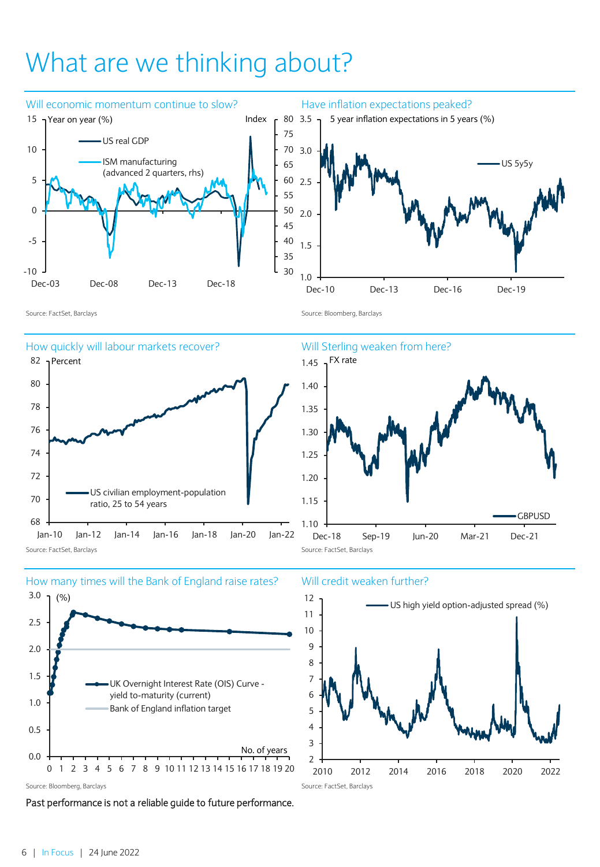# What are we thinking about?









Past performance is not a reliable guide to future performance.